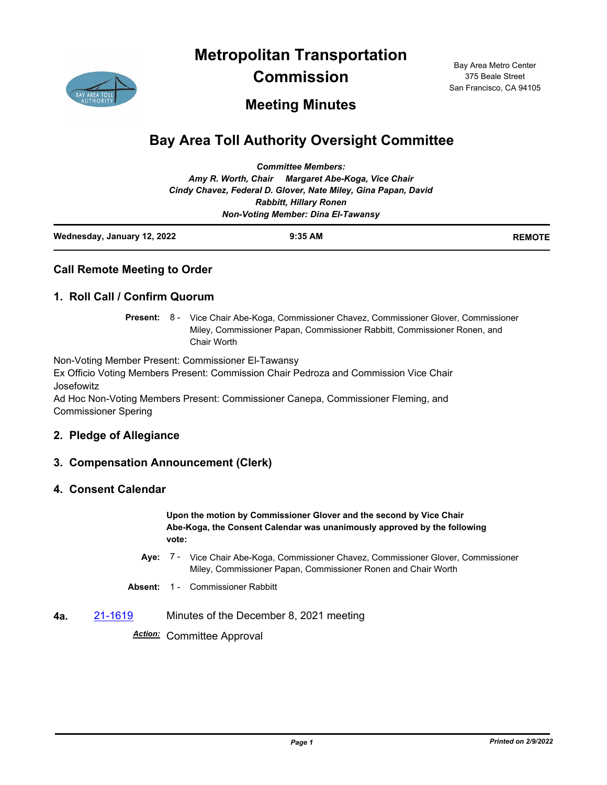**Metropolitan Transportation** 



**Commission**

Bay Area Metro Center 375 Beale Street San Francisco, CA 94105

# **Meeting Minutes**

# **Bay Area Toll Authority Oversight Committee**

| Wednesday, January 12, 2022               | $9:35$ AM                                                      | <b>REMOTE</b> |  |  |
|-------------------------------------------|----------------------------------------------------------------|---------------|--|--|
| <b>Non-Voting Member: Dina El-Tawansy</b> |                                                                |               |  |  |
|                                           | <b>Rabbitt, Hillary Ronen</b>                                  |               |  |  |
|                                           | Cindy Chavez, Federal D. Glover, Nate Miley, Gina Papan, David |               |  |  |
|                                           | Amy R. Worth, Chair Margaret Abe-Koga, Vice Chair              |               |  |  |
|                                           | <b>Committee Members:</b>                                      |               |  |  |

|  | <b>Call Remote Meeting to Order</b> |  |
|--|-------------------------------------|--|
|  |                                     |  |

### **1. Roll Call / Confirm Quorum**

Present: 8 - Vice Chair Abe-Koga, Commissioner Chavez, Commissioner Glover, Commissioner Miley, Commissioner Papan, Commissioner Rabbitt, Commissioner Ronen, and Chair Worth

Non-Voting Member Present: Commissioner El-Tawansy Ex Officio Voting Members Present: Commission Chair Pedroza and Commission Vice Chair Josefowitz

Ad Hoc Non-Voting Members Present: Commissioner Canepa, Commissioner Fleming, and Commissioner Spering

#### **2. Pledge of Allegiance**

# **3. Compensation Announcement (Clerk)**

#### **4. Consent Calendar**

**Upon the motion by Commissioner Glover and the second by Vice Chair Abe-Koga, the Consent Calendar was unanimously approved by the following vote:**

- Aye: 7 Vice Chair Abe-Koga, Commissioner Chavez, Commissioner Glover, Commissioner Miley, Commissioner Papan, Commissioner Ronen and Chair Worth
- **Absent:** 1 Commissioner Rabbitt
- **4a.** [21-1619](http://mtc.legistar.com/gateway.aspx?m=l&id=/matter.aspx?key=23212) Minutes of the December 8, 2021 meeting

*Action:* Committee Approval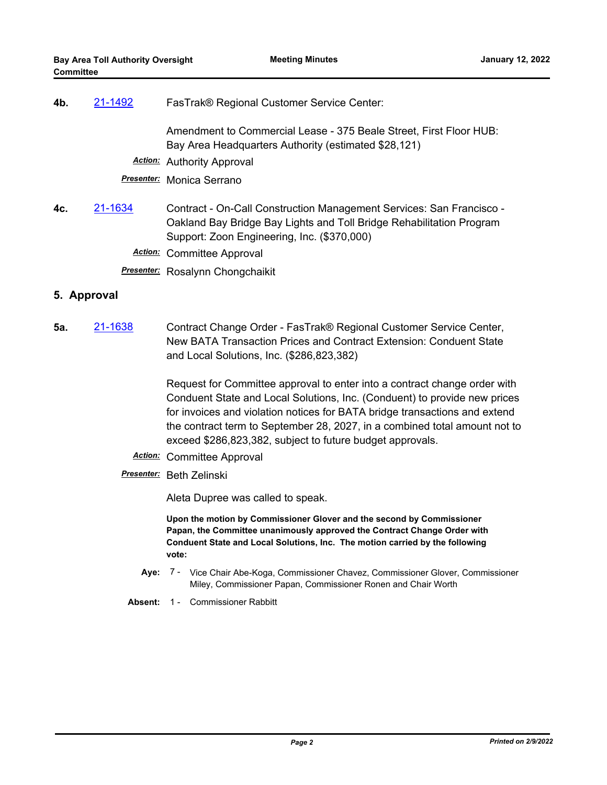| 4b. | 21-1492 | FasTrak® Regional Customer Service Center:                                                                                                                                                  |
|-----|---------|---------------------------------------------------------------------------------------------------------------------------------------------------------------------------------------------|
|     |         | Amendment to Commercial Lease - 375 Beale Street, First Floor HUB:<br>Bay Area Headquarters Authority (estimated \$28,121)                                                                  |
|     |         | Action: Authority Approval                                                                                                                                                                  |
|     |         | Presenter: Monica Serrano                                                                                                                                                                   |
| 4c. | 21-1634 | Contract - On-Call Construction Management Services: San Francisco -<br>Oakland Bay Bridge Bay Lights and Toll Bridge Rehabilitation Program<br>Support: Zoon Engineering, Inc. (\$370,000) |
|     |         | <b>Action:</b> Committee Approval                                                                                                                                                           |
|     |         | <b>Presenter:</b> Rosalynn Chongchaikit                                                                                                                                                     |

### **5. Approval**

**5a.** [21-1638](http://mtc.legistar.com/gateway.aspx?m=l&id=/matter.aspx?key=23231) Contract Change Order - FasTrak® Regional Customer Service Center, New BATA Transaction Prices and Contract Extension: Conduent State and Local Solutions, Inc. (\$286,823,382)

> Request for Committee approval to enter into a contract change order with Conduent State and Local Solutions, Inc. (Conduent) to provide new prices for invoices and violation notices for BATA bridge transactions and extend the contract term to September 28, 2027, in a combined total amount not to exceed \$286,823,382, subject to future budget approvals.

- *Action:* Committee Approval
- *Presenter:* Beth Zelinski

Aleta Dupree was called to speak.

**Upon the motion by Commissioner Glover and the second by Commissioner Papan, the Committee unanimously approved the Contract Change Order with Conduent State and Local Solutions, Inc. The motion carried by the following vote:**

- Aye: 7 Vice Chair Abe-Koga, Commissioner Chavez, Commissioner Glover, Commissioner Miley, Commissioner Papan, Commissioner Ronen and Chair Worth
- **Absent:** 1 Commissioner Rabbitt